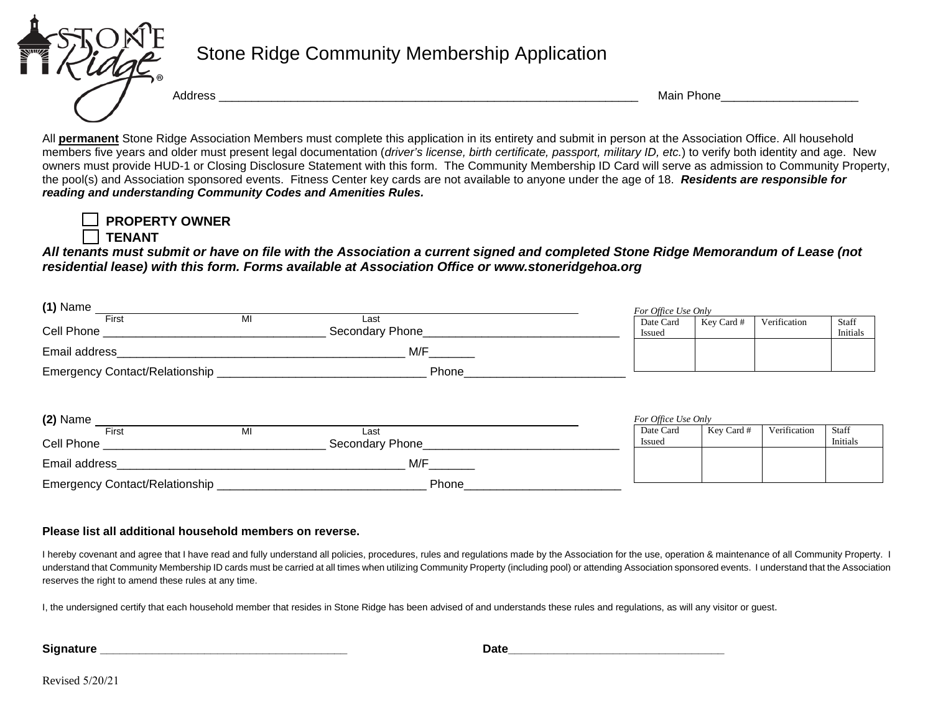

## Stone Ridge Community Membership Application

Address \_\_\_\_\_\_\_\_\_\_\_\_\_\_\_\_\_\_\_\_\_\_\_\_\_\_\_\_\_\_\_\_\_\_\_\_\_\_\_\_\_\_\_\_\_\_\_\_\_\_\_\_\_\_\_\_\_\_\_\_\_\_\_\_ Main Phone\_\_\_\_\_\_\_\_\_\_\_\_\_\_\_\_\_\_\_\_\_

All **permanent** Stone Ridge Association Members must complete this application in its entirety and submit in person at the Association Office. All household members five years and older must present legal documentation (*driver's license, birth certificate, passport, military ID, etc.*) to verify both identity and age. New owners must provide HUD-1 or Closing Disclosure Statement with this form. The Community Membership ID Card will serve as admission to Community Property, the pool(s) and Association sponsored events.Fitness Center key cards are not available to anyone under the age of 18. *Residents are responsible for reading and understanding Community Codes and Amenities Rules.* 

 **PROPERTY OWNER TENANT**

*All tenants must submit or have on file with the Association a current signed and completed Stone Ridge Memorandum of Lease (not residential lease) with this form. Forms available at Association Office or www.stoneridgehoa.org*

| $(1)$ Name                            |       |                                           |  | For Office Use Only |            |              |                   |  |
|---------------------------------------|-------|-------------------------------------------|--|---------------------|------------|--------------|-------------------|--|
| First<br><b>Cell Phone Cell Phone</b> | MI    | Last<br>Secondary Phone____________       |  | Date Card<br>Issued | Key Card # | Verification | Staff<br>Initials |  |
| Email address                         |       | M/F                                       |  |                     |            |              |                   |  |
|                                       | Phone |                                           |  |                     |            |              |                   |  |
|                                       |       |                                           |  |                     |            |              |                   |  |
| $(2)$ Name                            |       |                                           |  | For Office Use Only |            |              |                   |  |
| First                                 | MI    | Last                                      |  | Date Card           | Key Card # | Verification | Staff             |  |
| Cell Phone                            |       | Secondary Phone<br><u>Secondary</u> Phone |  | Issued              |            |              | Initials          |  |
| Email address                         |       | M/F                                       |  |                     |            |              |                   |  |

## **Please list all additional household members on reverse.**

I hereby covenant and agree that I have read and fully understand all policies, procedures, rules and regulations made by the Association for the use, operation & maintenance of all Community Property. I understand that Community Membership ID cards must be carried at all times when utilizing Community Property (including pool) or attending Association sponsored events. I understand that the Association reserves the right to amend these rules at any time.

I, the undersigned certify that each household member that resides in Stone Ridge has been advised of and understands these rules and regulations, as will any visitor or guest.

**Signature \_\_\_\_\_\_\_\_\_\_\_\_\_\_\_\_\_\_\_\_\_\_\_\_\_\_\_\_\_\_\_\_\_\_\_\_\_\_** 

 **Date\_\_\_\_\_\_\_\_\_\_\_\_\_\_\_\_\_\_\_\_\_\_\_\_\_\_\_\_\_\_\_\_\_**